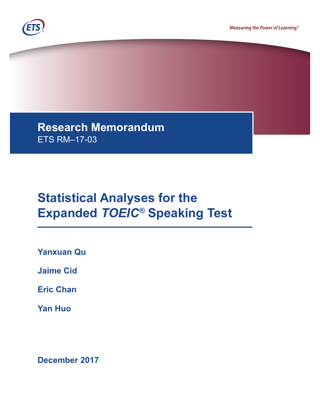



**Research Memorandum**  ETS RM–17-03

# **Statistical Analyses for the Expanded** *TOEIC®* **Speaking Test**

**Yanxuan Qu**

**Jaime Cid**

**Eric Chan**

**Yan Huo**

**December 2017**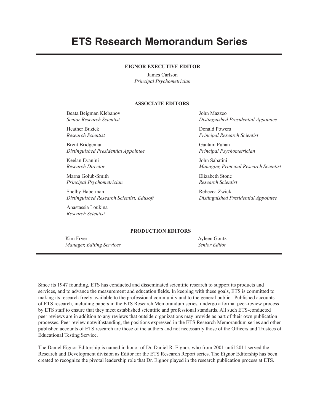## **ETS Research Memorandum Series**

#### **EIGNOR EXECUTIVE EDITOR**

James Carlson *Principal Psychometrician*

#### **ASSOCIATE EDITORS**

Beata Beigman Klebanov *Senior Research Scientist*

Heather Buzick *Research Scientist*

Brent Bridgeman *Distinguished Presidential Appointee*

Keelan Evanini *Research Director*

Marna Golub-Smith *Principal Psychometrician*

Shelby Haberman *Distinguished Research Scientist, Edusoft*

Anastassia Loukina *Research Scientist*

John Mazzeo *Distinguished Presidential Appointee*

Donald Powers *Principal Research Scientist*

Gautam Puhan *Principal Psychometrician*

John Sabatini *Managing Principal Research Scientist*

Elizabeth Stone *Research Scientist*

Rebecca Zwick *Distinguished Presidential Appointee*

#### **PRODUCTION EDITORS**

Kim Fryer *Manager, Editing Services* Ayleen Gontz *Senior Editor*

Since its 1947 founding, ETS has conducted and disseminated scientific research to support its products and services, and to advance the measurement and education fields. In keeping with these goals, ETS is committed to making its research freely available to the professional community and to the general public. Published accounts of ETS research, including papers in the ETS Research Memorandum series, undergo a formal peer-review process by ETS staff to ensure that they meet established scientific and professional standards. All such ETS-conducted peer reviews are in addition to any reviews that outside organizations may provide as part of their own publication processes. Peer review notwithstanding, the positions expressed in the ETS Research Memorandum series and other published accounts of ETS research are those of the authors and not necessarily those of the Officers and Trustees of Educational Testing Service.

The Daniel Eignor Editorship is named in honor of Dr. Daniel R. Eignor, who from 2001 until 2011 served the Research and Development division as Editor for the ETS Research Report series. The Eignor Editorship has been created to recognize the pivotal leadership role that Dr. Eignor played in the research publication process at ETS.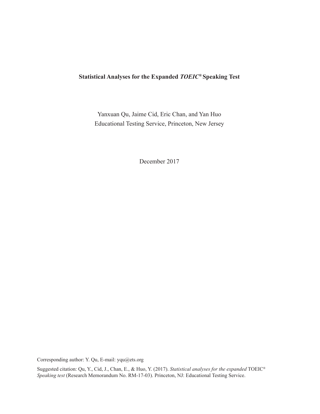#### **Statistical Analyses for the Expanded** *TOEIC®* **Speaking Test**

Yanxuan Qu, Jaime Cid, Eric Chan, and Yan Huo Educational Testing Service, Princeton, New Jersey

December 2017

Corresponding author: Y. Qu, E-mail: yqu@ets.org

Suggested citation: Qu, Y., Cid, J., Chan, E., & Huo, Y. (2017). *Statistical analyses for the expanded* TOEIC® *Speaking test* (Research Memorandum No. RM-17-03). Princeton, NJ: Educational Testing Service.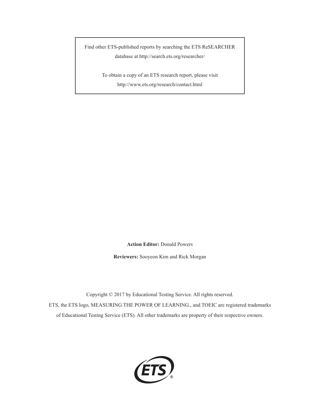Find other ETS-published reports by searching the ETS ReSEARCHER database at <http://search.ets.org/researcher>/

> To obtain a copy of an ETS research report, please visit <http://www.ets.org/research/contact.html>

> > **Action Editor:** Donald Powers

**Reviewers:** Sooyeon Kim and Rick Morgan

Copyright © 2017 by Educational Testing Service. All rights reserved.

ETS, the ETS logo, MEASURING THE POWER OF LEARNING., and TOEIC are registered trademarks of Educational Testing Service (ETS). All other trademarks are property of their respective owners.

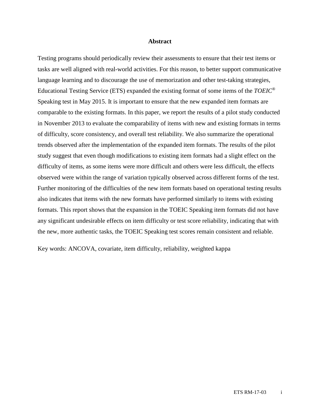#### **Abstract**

Testing programs should periodically review their assessments to ensure that their test items or tasks are well aligned with real-world activities. For this reason, to better support communicative language learning and to discourage the use of memorization and other test-taking strategies, Educational Testing Service (ETS) expanded the existing format of some items of the *TOEIC*® Speaking test in May 2015. It is important to ensure that the new expanded item formats are comparable to the existing formats. In this paper, we report the results of a pilot study conducted in November 2013 to evaluate the comparability of items with new and existing formats in terms of difficulty, score consistency, and overall test reliability. We also summarize the operational trends observed after the implementation of the expanded item formats. The results of the pilot study suggest that even though modifications to existing item formats had a slight effect on the difficulty of items, as some items were more difficult and others were less difficult, the effects observed were within the range of variation typically observed across different forms of the test. Further monitoring of the difficulties of the new item formats based on operational testing results also indicates that items with the new formats have performed similarly to items with existing formats. This report shows that the expansion in the TOEIC Speaking item formats did not have any significant undesirable effects on item difficulty or test score reliability, indicating that with the new, more authentic tasks, the TOEIC Speaking test scores remain consistent and reliable.

Key words: ANCOVA, covariate, item difficulty, reliability, weighted kappa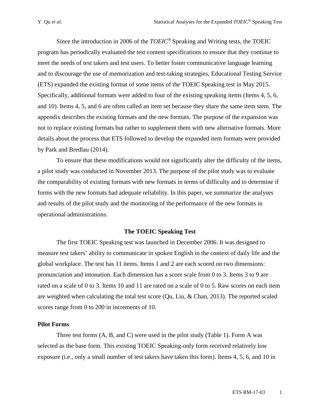Since the introduction in 2006 of the *TOEIC*® Speaking and Writing tests, the TOEIC program has periodically evaluated the test content specifications to ensure that they continue to meet the needs of test takers and test users. To better foster communicative language learning and to discourage the use of memorization and test-taking strategies, Educational Testing Service (ETS) expanded the existing format of some items of the TOEIC Speaking test in May 2015. Specifically, additional formats were added to four of the existing speaking items (Items 4, 5, 6, and 10). Items 4, 5, and 6 are often called an item set because they share the same item stem. The appendix describes the existing formats and the new formats. The purpose of the expansion was not to replace existing formats but rather to supplement them with new alternative formats. More details about the process that ETS followed to develop the expanded item formats were provided by Park and Bredlau (2014).

To ensure that these modifications would not significantly alter the difficulty of the items, a pilot study was conducted in November 2013. The purpose of the pilot study was to evaluate the comparability of existing formats with new formats in terms of difficulty and to determine if forms with the new formats had adequate reliability. In this paper, we summarize the analyses and results of the pilot study and the monitoring of the performance of the new formats in operational administrations.

#### **The TOEIC Speaking Test**

The first TOEIC Speaking test was launched in December 2006. It was designed to measure test takers' ability to communicate in spoken English in the context of daily life and the global workplace. The test has 11 items. Items 1 and 2 are each scored on two dimensions: pronunciation and intonation. Each dimension has a score scale from 0 to 3. Items 3 to 9 are rated on a scale of 0 to 3. Items 10 and 11 are rated on a scale of 0 to 5. Raw scores on each item are weighted when calculating the total test score (Qu, Liu, & Chan, 2013). The reported scaled scores range from 0 to 200 in increments of 10.

#### **Pilot Forms**

Three test forms (A, B, and C) were used in the pilot study (Table 1). Form A was selected as the base form. This existing TOEIC Speaking-only form received relatively low exposure (i.e., only a small number of test takers have taken this form). Items 4, 5, 6, and 10 in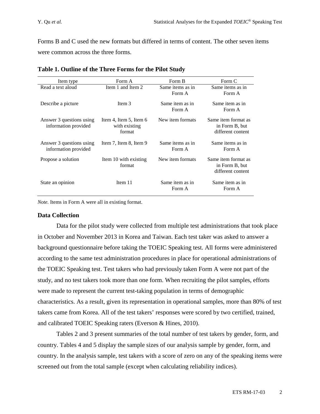Forms B and C used the new formats but differed in terms of content. The other seven items were common across the three forms.

| Item type                                        | Form A                                            | Form B                     | Form C                                                     |
|--------------------------------------------------|---------------------------------------------------|----------------------------|------------------------------------------------------------|
| Read a text aloud                                | Item 1 and Item 2                                 | Same items as in<br>Form A | Same items as in<br>Form A                                 |
| Describe a picture                               | Item 3                                            | Same item as in<br>Form A  | Same item as in<br>Form A                                  |
| Answer 3 questions using<br>information provided | Item 4, Item 5, Item 6<br>with existing<br>format | New item formats           | Same item format as<br>in Form B, but<br>different content |
| Answer 3 questions using<br>information provided | Item $7$ , Item $8$ , Item $9$                    | Same items as in<br>Form A | Same items as in<br>Form A                                 |
| Propose a solution                               | Item 10 with existing<br>format                   | New item formats           | Same item format as<br>in Form B, but<br>different content |
| State an opinion                                 | Item 11                                           | Same item as in<br>Form A  | Same item as in<br>Form A                                  |

|  | Table 1. Outline of the Three Forms for the Pilot Study |  |  |  |  |  |  |  |
|--|---------------------------------------------------------|--|--|--|--|--|--|--|
|--|---------------------------------------------------------|--|--|--|--|--|--|--|

*Note.* Items in Form A were all in existing format.

#### **Data Collection**

Data for the pilot study were collected from multiple test administrations that took place in October and November 2013 in Korea and Taiwan. Each test taker was asked to answer a background questionnaire before taking the TOEIC Speaking test. All forms were administered according to the same test administration procedures in place for operational administrations of the TOEIC Speaking test. Test takers who had previously taken Form A were not part of the study, and no test takers took more than one form. When recruiting the pilot samples, efforts were made to represent the current test-taking population in terms of demographic characteristics. As a result, given its representation in operational samples, more than 80% of test takers came from Korea. All of the test takers' responses were scored by two certified, trained, and calibrated TOEIC Speaking raters (Everson & Hines, 2010).

Tables 2 and 3 present summaries of the total number of test takers by gender, form, and country. Tables 4 and 5 display the sample sizes of our analysis sample by gender, form, and country. In the analysis sample, test takers with a score of zero on any of the speaking items were screened out from the total sample (except when calculating reliability indices).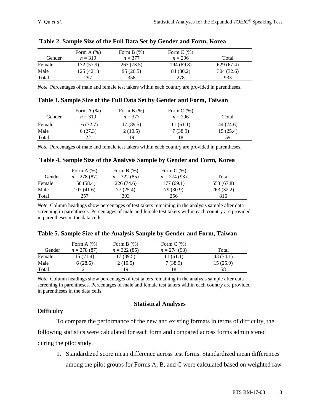|        | Form $A(\%)$ | Form $B(\%)$ | Form $C(\%)$ |            |
|--------|--------------|--------------|--------------|------------|
| Gender | $n = 319$    | $n = 377$    | $n = 296$    | Total      |
| Female | 172 (57.9)   | 263 (73.5)   | 194 (69.8)   | 629 (67.4) |
| Male   | 125(42.1)    | 95 (26.5)    | 84 (30.2)    | 304 (32.6) |
| Total  | 297          | 358          | 278          | 933        |

**Table 2. Sample Size of the Full Data Set by Gender and Form, Korea**

*Note.* Percentages of male and female test takers within each country are provided in parentheses.

| Gender | Form A $(\%)$<br>$n = 319$ | Form $B(\%)$<br>$n = 377$ | Form $C(\%)$<br>$n = 296$ | Total     |
|--------|----------------------------|---------------------------|---------------------------|-----------|
| Female | 16(72.7)                   | 17 (89.5)                 | 11(61.1)                  | 44 (74.6) |
| Male   | 6(27.3)                    | 2(10.5)                   | 7(38.9)                   | 15(25.4)  |
| Total  | フフ                         | 19                        | 18                        | 59        |

**Table 3. Sample Size of the Full Data Set by Gender and Form, Taiwan** 

*Note.* Percentages of male and female test takers within each country are provided in parentheses.

|  |  | Table 4. Sample Size of the Analysis Sample by Gender and Form, Korea |
|--|--|-----------------------------------------------------------------------|
|  |  |                                                                       |

|        | Form $A(\%)$  | Form $B(% )$  | Form $C(\%)$  |            |
|--------|---------------|---------------|---------------|------------|
| Gender | $n = 278(87)$ | $n = 322(85)$ | $n = 274(93)$ | Total      |
| Female | 150 (58.4)    | 226 (74.6)    | 177(69.1)     | 553 (67.8) |
| Male   | 107(41.6)     | 77 (25.4)     | 79 (30.9)     | 263(32.2)  |
| Total  | 257           | 303           | 256           | 816        |

*Note.* Column headings show percentages of test takers remaining in the analysis sample after data screening in parentheses. Percentages of male and female test takers within each country are provided in parentheses in the data cells.

|  |  |  |  | Table 5. Sample Size of the Analysis Sample by Gender and Form, Taiwan |
|--|--|--|--|------------------------------------------------------------------------|
|--|--|--|--|------------------------------------------------------------------------|

|        | Form $A(\%)$  | Form $B(% )$  | Form $C(\%)$  |           |
|--------|---------------|---------------|---------------|-----------|
| Gender | $n = 278(87)$ | $n = 322(85)$ | $n = 274(93)$ | Total     |
| Female | 15 (71.4)     | 17 (89.5)     | 11(61.1)      | 43 (74.1) |
| Male   | 6(28.6)       | 2(10.5)       | 7(38.9)       | 15(25.9)  |
| Total  |               | 19            |               | 58        |

*Note.* Column headings show percentages of test takers remaining in the analysis sample after data screening in parentheses. Percentages of male and female test takers within each country are provided in parentheses in the data cells.

#### **Statistical Analyses**

## **Difficulty**

To compare the performance of the new and existing formats in terms of difficulty, the

following statistics were calculated for each form and compared across forms administered

during the pilot study.

1. Standardized score mean difference across test forms. Standardized mean differences among the pilot groups for Forms A, B, and C were calculated based on weighted raw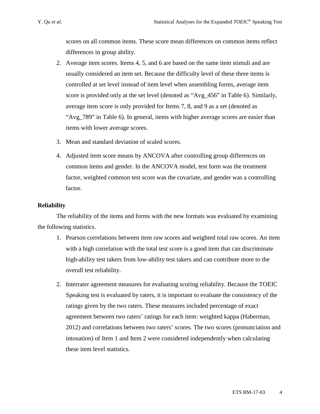scores on all common items. These score mean differences on common items reflect differences in group ability.

- 2. Average item scores. Items 4, 5, and 6 are based on the same item stimuli and are usually considered an item set. Because the difficulty level of these three items is controlled at set level instead of item level when assembling forms, average item score is provided only at the set level (denoted as "Avg\_456" in Table 6). Similarly, average item score is only provided for Items 7, 8, and 9 as a set (denoted as "Avg\_789" in Table 6). In general, items with higher average scores are easier than items with lower average scores.
- 3. Mean and standard deviation of scaled scores.
- 4. Adjusted item score means by ANCOVA after controlling group differences on common items and gender. In the ANCOVA model, test form was the treatment factor, weighted common test score was the covariate, and gender was a controlling factor.

#### **Reliability**

The reliability of the items and forms with the new formats was evaluated by examining the following statistics.

- 1. Pearson correlations between item raw scores and weighted total raw scores. An item with a high correlation with the total test score is a good item that can discriminate high-ability test takers from low-ability test takers and can contribute more to the overall test reliability.
- 2. Interrater agreement measures for evaluating scoring reliability. Because the TOEIC Speaking test is evaluated by raters, it is important to evaluate the consistency of the ratings given by the two raters. These measures included percentage of exact agreement between two raters' ratings for each item: weighted kappa (Haberman, 2012) and correlations between two raters' scores. The two scores (pronunciation and intonation) of Item 1 and Item 2 were considered independently when calculating these item level statistics.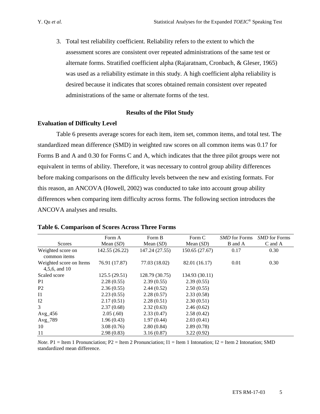3. Total test reliability coefficient. Reliability refers to the extent to which the assessment scores are consistent over repeated administrations of the same test or alternate forms. Stratified coefficient alpha (Rajaratnam, Cronbach, & Gleser, 1965) was used as a reliability estimate in this study. A high coefficient alpha reliability is desired because it indicates that scores obtained remain consistent over repeated administrations of the same or alternate forms of the test.

#### **Results of the Pilot Study**

#### **Evaluation of Difficulty Level**

Table 6 presents average scores for each item, item set, common items, and total test. The standardized mean difference (SMD) in weighted raw scores on all common items was 0.17 for Forms B and A and 0.30 for Forms C and A, which indicates that the three pilot groups were not equivalent in terms of ability. Therefore, it was necessary to control group ability differences before making comparisons on the difficulty levels between the new and existing formats. For this reason, an ANCOVA (Howell, 2002) was conducted to take into account group ability differences when comparing item difficulty across forms. The following section introduces the ANCOVA analyses and results.

|                                             | Form A         | Form B         | Form C         | <b>SMD</b> for Forms | SMD for Forms |
|---------------------------------------------|----------------|----------------|----------------|----------------------|---------------|
| <b>Scores</b>                               | Mean $(SD)$    | Mean $(SD)$    | Mean $(SD)$    | B and A              | C and A       |
| Weighted score on<br>common <i>items</i>    | 142.55 (26.22) | 147.24 (27.55) | 150.65 (27.67) | 0.17                 | 0.30          |
| Weighted score on Items<br>$4,5,6$ , and 10 | 76.91 (17.87)  | 77.03 (18.02)  | 82.01 (16.17)  | 0.01                 | 0.30          |
| Scaled score                                | 125.5 (29.51)  | 128.79 (30.75) | 134.93 (30.11) |                      |               |
| P <sub>1</sub>                              | 2.28(0.55)     | 2.39(0.55)     | 2.39(0.55)     |                      |               |
| P <sub>2</sub>                              | 2.36(0.55)     | 2.44(0.52)     | 2.50(0.55)     |                      |               |
| $_{\rm I1}$                                 | 2.23(0.55)     | 2.28(0.57)     | 2.33(0.58)     |                      |               |
| I2                                          | 2.17(0.51)     | 2.28(0.51)     | 2.30(0.51)     |                      |               |
| 3                                           | 2.37(0.68)     | 2.32(0.63)     | 2.46(0.62)     |                      |               |
| $Avg_456$                                   | 2.05(.60)      | 2.33(0.47)     | 2.58(0.42)     |                      |               |
| Avg_789                                     | 1.96(0.43)     | 1.97(0.44)     | 2.03(0.41)     |                      |               |
| 10                                          | 3.08(0.76)     | 2.80(0.84)     | 2.89(0.78)     |                      |               |
| 11                                          | 2.98(0.83)     | 3.16(0.87)     | 3.22(0.92)     |                      |               |

#### **Table 6. Comparison of Scores Across Three Forms**

*Note.* P1 = Item 1 Pronunciation; P2 = Item 2 Pronunciation; I1 = Item 1 Intonation; I2 = Item 2 Intonation; SMD standardized mean difference.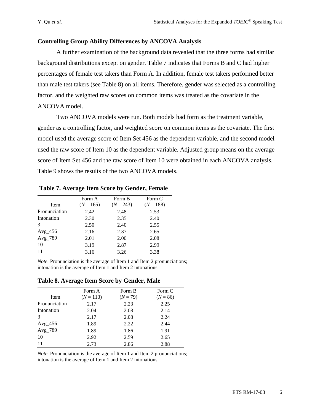#### **Controlling Group Ability Differences by ANCOVA Analysis**

A further examination of the background data revealed that the three forms had similar background distributions except on gender. Table 7 indicates that Forms B and C had higher percentages of female test takers than Form A. In addition, female test takers performed better than male test takers (see Table 8) on all items. Therefore, gender was selected as a controlling factor, and the weighted raw scores on common items was treated as the covariate in the ANCOVA model.

Two ANCOVA models were run. Both models had form as the treatment variable, gender as a controlling factor, and weighted score on common items as the covariate. The first model used the average score of Item Set 456 as the dependent variable, and the second model used the raw score of Item 10 as the dependent variable. Adjusted group means on the average score of Item Set 456 and the raw score of Item 10 were obtained in each ANCOVA analysis. Table 9 shows the results of the two ANCOVA models.

|               | Form A      | Form B      | Form C      |
|---------------|-------------|-------------|-------------|
| Item          | $(N = 165)$ | $(N = 243)$ | $(N = 188)$ |
| Pronunciation | 2.42        | 2.48        | 2.53        |
| Intonation    | 2.30        | 2.35        | 2.40        |
| $\mathcal{R}$ | 2.50        | 2.40        | 2.55        |
| $Avg_456$     | 2.16        | 2.37        | 2.65        |
| Avg_789       | 2.01        | 2.00        | 2.08        |
| 10            | 3.19        | 2.87        | 2.99        |
| 11            | 3.16        | 3.26        | 3.38        |

**Table 7. Average Item Score by Gender, Female**

*Note.* Pronunciation is the average of Item 1 and Item 2 pronunciations; intonation is the average of Item 1 and Item 2 intonations.

**Table 8. Average Item Score by Gender, Male** 

|               | Form A      | Form B     | Form C     |
|---------------|-------------|------------|------------|
| Item          | $(N = 113)$ | $(N = 79)$ | $(N = 86)$ |
| Pronunciation | 2.17        | 2.23       | 2.25       |
| Intonation    | 2.04        | 2.08       | 2.14       |
| 3             | 2.17        | 2.08       | 2.24       |
| $Avg_456$     | 1.89        | 2.22       | 2.44       |
| Avg_789       | 1.89        | 1.86       | 1.91       |
| 10            | 2.92        | 2.59       | 2.65       |
| 11            | 2.73        | 2.86       | 2.88       |

*Note.* Pronunciation is the average of Item 1 and Item 2 pronunciations; intonation is the average of Item 1 and Item 2 intonations.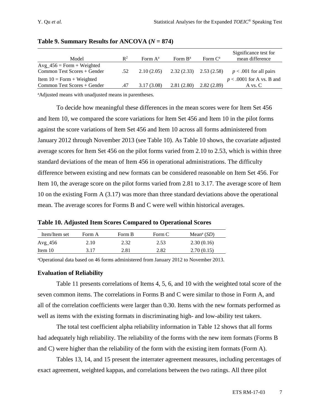| Model                                                      | $\mathbb{R}^2$ | Form $A^a$ | Form $B^a$                | Form $C^a$ | Significance test for<br>mean difference |
|------------------------------------------------------------|----------------|------------|---------------------------|------------|------------------------------------------|
| $Avg_456 = Form + Weighted$<br>Common Test Scores + Gender | .52            | 2.10(2.05) | $2.32(2.33)$ $2.53(2.58)$ |            | $p < .001$ for all pairs                 |
| Item $10 = Form + Weighted$<br>Common Test Scores + Gender | .47            | 3.17(3.08) | 2.81(2.80)                | 2.82(2.89) | $p < .0001$ for A vs. B and<br>A vs. C   |

| Table 9. Summary Results for ANCOVA $(N = 874)$ |  |  |  |
|-------------------------------------------------|--|--|--|
|-------------------------------------------------|--|--|--|

a Adjusted means with unadjusted means in parentheses.

To decide how meaningful these differences in the mean scores were for Item Set 456 and Item 10, we compared the score variations for Item Set 456 and Item 10 in the pilot forms against the score variations of Item Set 456 and Item 10 across all forms administered from January 2012 through November 2013 (see Table 10). As Table 10 shows, the covariate adjusted average scores for Item Set 456 on the pilot forms varied from 2.10 to 2.53, which is within three standard deviations of the mean of Item 456 in operational administrations. The difficulty difference between existing and new formats can be considered reasonable on Item Set 456. For Item 10, the average score on the pilot forms varied from 2.81 to 3.17. The average score of Item 10 on the existing Form A (3.17) was more than three standard deviations above the operational mean. The average scores for Forms B and C were well within historical averages.

**Table 10. Adjusted Item Scores Compared to Operational Scores**

| Item/Item set | Form A | Form B | Form C | Mean <sup>a</sup> $(SD)$ |
|---------------|--------|--------|--------|--------------------------|
| $Avg_456$     | 2.10   | 2.32   | 2.53   | 2.30(0.16)               |
| Item $10$     | 3.17   | 2.81   | 2.82   | 2.70(0.15)               |

a Operational data based on 46 forms administered from January 2012 to November 2013.

#### **Evaluation of Reliability**

Table 11 presents correlations of Items 4, 5, 6, and 10 with the weighted total score of the seven common items. The correlations in Forms B and C were similar to those in Form A, and all of the correlation coefficients were larger than 0.30. Items with the new formats performed as well as items with the existing formats in discriminating high- and low-ability test takers.

The total test coefficient alpha reliability information in Table 12 shows that all forms had adequately high reliability. The reliability of the forms with the new item formats (Forms B and C) were higher than the reliability of the form with the existing item formats (Form A).

Tables 13, 14, and 15 present the interrater agreement measures, including percentages of exact agreement, weighted kappas, and correlations between the two ratings. All three pilot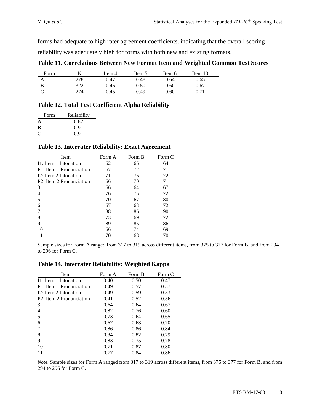forms had adequate to high rater agreement coefficients, indicating that the overall scoring

reliability was adequately high for forms with both new and existing formats.

| Table 11. Correlations Between New Format Item and Weighted Common Test Scores |  |  |  |  |
|--------------------------------------------------------------------------------|--|--|--|--|
|                                                                                |  |  |  |  |

| Form |     | Item 4 | Item 5 | Item 6 | Item $10$ |
|------|-----|--------|--------|--------|-----------|
| Α    | 278 | 0.47   | 0.48   | 0.64   | 0.65      |
|      | 322 | 0.46   | 0.50   | 0.60   | 0.67      |
|      | 274 | 0.45   | 0.49   | 0.60   |           |

#### **Table 12. Total Test Coefficient Alpha Reliability**

| Form | Reliability |
|------|-------------|
| A    | 0.87        |
| B    | 0.91        |
|      | 0.91        |

#### **Table 13. Interrater Reliability: Exact Agreement**

| Item                     | Form A | Form B | Form C |
|--------------------------|--------|--------|--------|
| I1: Item 1 Intonation    | 62     | 66     | 64     |
| P1: Item 1 Pronunciation | 67     | 72     | 71     |
| I2: Item 2 Intonation    | 71     | 76     | 72     |
| P2: Item 2 Pronunciation | 66     | 70     | 71     |
| 3                        | 66     | 64     | 67     |
| $\overline{4}$           | 76     | 75     | 72     |
| 5                        | 70     | 67     | 80     |
| 6                        | 67     | 63     | 72     |
| 7                        | 88     | 86     | 90     |
| 8                        | 73     | 69     | 72     |
| 9                        | 89     | 85     | 86     |
| 10                       | 66     | 74     | 69     |
|                          | 70     | 68     | 70     |

Sample sizes for Form A ranged from 317 to 319 across different items, from 375 to 377 for Form B, and from 294 to 296 for Form C.

**Table 14. Interrater Reliability: Weighted Kappa**

| Item                     | Form A | Form B | Form C |
|--------------------------|--------|--------|--------|
| $I1:$ Item 1 Intonation  | 0.40   | 0.50   | 0.47   |
| P1: Item 1 Pronunciation | 0.49   | 0.57   | 0.57   |
| $I2:$ Item 2 Intonation  | 0.49   | 0.59   | 0.53   |
| P2: Item 2 Pronunciation | 0.41   | 0.52   | 0.56   |
| 3                        | 0.64   | 0.64   | 0.67   |
| 4                        | 0.82   | 0.76   | 0.60   |
| 5                        | 0.73   | 0.64   | 0.65   |
| 6                        | 0.67   | 0.63   | 0.70   |
|                          | 0.86   | 0.86   | 0.84   |
| 8                        | 0.84   | 0.82   | 0.79   |
| 9                        | 0.83   | 0.75   | 0.78   |
| 10                       | 0.71   | 0.87   | 0.80   |
|                          | 0.77   | 0.84   | 0.86   |
|                          |        |        |        |

*Note.* Sample sizes for Form A ranged from 317 to 319 across different items, from 375 to 377 for Form B, and from 294 to 296 for Form C.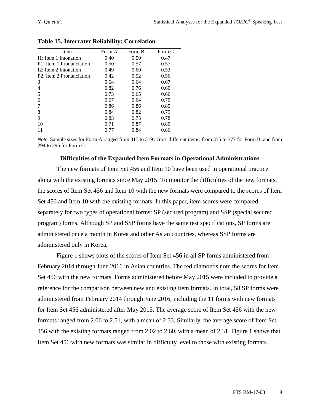| Item                     | Form A | Form B | Form C |
|--------------------------|--------|--------|--------|
| I1: Item 1 Intonation    | 0.40   | 0.50   | 0.47   |
| P1: Item 1 Pronunciation | 0.50   | 0.57   | 0.57   |
| I2: Item 2 Intonation    | 0.49   | 0.60   | 0.53   |
| P2: Item 2 Pronunciation | 0.42   | 0.52   | 0.56   |
| 3                        | 0.64   | 0.64   | 0.67   |
| 4                        | 0.82   | 0.76   | 0.60   |
| 5                        | 0.73   | 0.65   | 0.66   |
| 6                        | 0.67   | 0.64   | 0.70   |
|                          | 0.86   | 0.86   | 0.85   |
| 8                        | 0.84   | 0.82   | 0.79   |
| 9                        | 0.83   | 0.75   | 0.78   |
| 10                       | 0.71   | 0.87   | 0.80   |
|                          | 0.77   | 0.84   | 0.86   |

**Table 15. Interrater Reliability: Correlation**

*Note.* Sample sizes for Form A ranged from 317 to 319 across different items, from 375 to 377 for Form B, and from 294 to 296 for Form C.

#### **Difficulties of the Expanded Item Formats in Operational Administrations**

The new formats of Item Set 456 and Item 10 have been used in operational practice along with the existing formats since May 2015. To monitor the difficulties of the new formats, the scores of Item Set 456 and Item 10 with the new formats were compared to the scores of Item Set 456 and Item 10 with the existing formats. In this paper, item scores were compared separately for two types of operational forms: SP (secured program) and SSP (special secured program) forms. Although SP and SSP forms have the same test specifications, SP forms are administered once a month in Korea and other Asian countries, whereas SSP forms are administered only in Korea.

Figure 1 shows plots of the scores of Item Set 456 in all SP forms administered from February 2014 through June 2016 in Asian countries. The red diamonds note the scores for Item Set 456 with the new formats. Forms administered before May 2015 were included to provide a reference for the comparison between new and existing item formats. In total, 58 SP forms were administered from February 2014 through June 2016, including the 11 forms with new formats for Item Set 456 administered after May 2015. The average score of Item Set 456 with the new formats ranged from 2.06 to 2.51, with a mean of 2.33. Similarly, the average score of Item Set 456 with the existing formats ranged from 2.02 to 2.60, with a mean of 2.31. Figure 1 shows that Item Set 456 with new formats was similar in difficulty level to those with existing formats.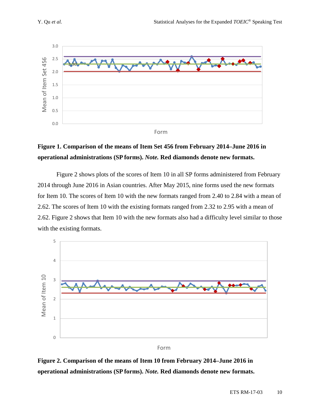

## **Figure 1. Comparison of the means of Item Set 456 from February 2014–June 2016 in operational administrations (SP forms).** *Note.* **Red diamonds denote new formats.**

Figure 2 shows plots of the scores of Item 10 in all SP forms administered from February 2014 through June 2016 in Asian countries. After May 2015, nine forms used the new formats for Item 10. The scores of Item 10 with the new formats ranged from 2.40 to 2.84 with a mean of 2.62. The scores of Item 10 with the existing formats ranged from 2.32 to 2.95 with a mean of 2.62. Figure 2 shows that Item 10 with the new formats also had a difficulty level similar to those with the existing formats.



**Figure 2. Comparison of the means of Item 10 from February 2014–June 2016 in operational administrations (SP forms).** *Note.* **Red diamonds denote new formats.**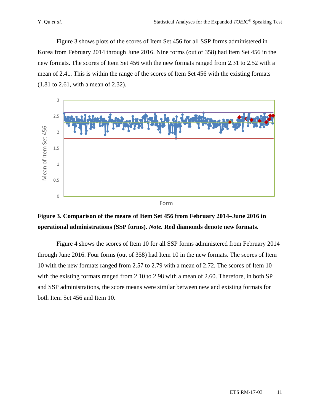Figure 3 shows plots of the scores of Item Set 456 for all SSP forms administered in Korea from February 2014 through June 2016. Nine forms (out of 358) had Item Set 456 in the new formats. The scores of Item Set 456 with the new formats ranged from 2.31 to 2.52 with a mean of 2.41. This is within the range of the scores of Item Set 456 with the existing formats (1.81 to 2.61, with a mean of 2.32).



## **Figure 3. Comparison of the means of Item Set 456 from February 2014–June 2016 in operational administrations (SSP forms).** *Note.* **Red diamonds denote new formats.**

Figure 4 shows the scores of Item 10 for all SSP forms administered from February 2014 through June 2016. Four forms (out of 358) had Item 10 in the new formats. The scores of Item 10 with the new formats ranged from 2.57 to 2.79 with a mean of 2.72. The scores of Item 10 with the existing formats ranged from 2.10 to 2.98 with a mean of 2.60. Therefore, in both SP and SSP administrations, the score means were similar between new and existing formats for both Item Set 456 and Item 10.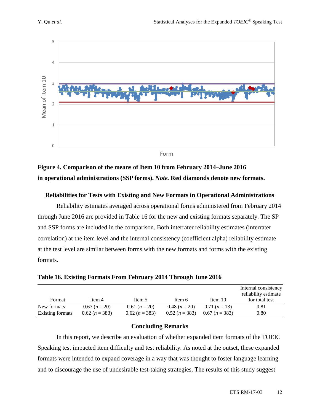

**Figure 4. Comparison of the means of Item 10 from February 2014–June 2016 in operational administrations (SSP forms).** *Note.* **Red diamonds denote new formats.** 

#### **Reliabilities for Tests with Existing and New Formats in Operational Administrations**

Reliability estimates averaged across operational forms administered from February 2014 through June 2016 are provided in Table 16 for the new and existing formats separately. The SP and SSP forms are included in the comparison. Both interrater reliability estimates (interrater correlation) at the item level and the internal consistency (coefficient alpha) reliability estimate at the test level are similar between forms with the new formats and forms with the existing formats.

|                  |                  |                  |               |                  | Internal consistency<br>reliability estimate |
|------------------|------------------|------------------|---------------|------------------|----------------------------------------------|
| Format           | Item 4           | Item 5           | Item 6        | Item 10          | for total test                               |
| New formats      | $0.67(n=20)$     | $0.61 (n = 20)$  | $0.48(n=20)$  | $0.71(n=13)$     | 0.81                                         |
| Existing formats | $0.62 (n = 383)$ | $0.62 (n = 383)$ | $0.52(n=383)$ | $0.67 (n = 383)$ | 0.80                                         |

**Table 16. Existing Formats From February 2014 Through June 2016** 

#### **Concluding Remarks**

In this report, we describe an evaluation of whether expanded item formats of the TOEIC Speaking test impacted item difficulty and test reliability. As noted at the outset, these expanded formats were intended to expand coverage in a way that was thought to foster language learning and to discourage the use of undesirable test-taking strategies. The results of this study suggest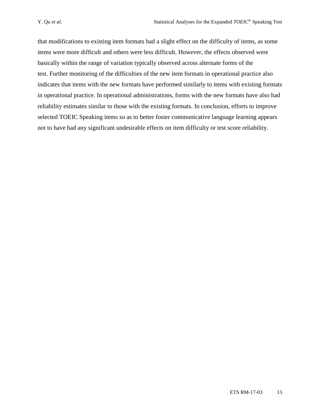that modifications to existing item formats had a slight effect on the difficulty of items, as some items were more difficult and others were less difficult. However, the effects observed were basically within the range of variation typically observed across alternate forms of the test. Further monitoring of the difficulties of the new item formats in operational practice also indicates that items with the new formats have performed similarly to items with existing formats in operational practice. In operational administrations, forms with the new formats have also had reliability estimates similar to those with the existing formats. In conclusion, efforts to improve selected TOEIC Speaking items so as to better foster communicative language learning appears not to have had any significant undesirable effects on item difficulty or test score reliability.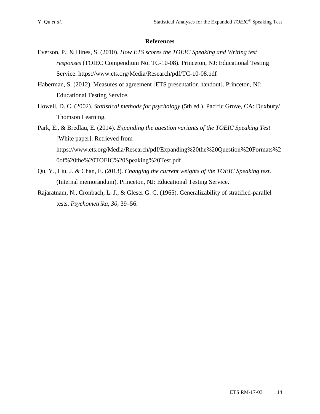#### **References**

- Everson, P., & Hines, S. (2010). *How ETS scores the TOEIC Speaking and Writing test responses* (TOIEC Compendium No. TC-10-08). Princeton, NJ: Educational Testing Service. <https://www.ets.org/Media/Research/pdf/TC-10-08.pdf>
- Haberman, S. (2012). Measures of agreement [ETS presentation handout]. Princeton, NJ: Educational Testing Service.
- Howell, D. C. (2002). *Statistical methods for psychology* (5th ed.). Pacific Grove, CA: Duxbury/ Thomson Learning.
- Park, E., & Bredlau, E. (2014). *Expanding the question variants of the TOEIC Speaking Test* [White paper]. Retrieved from [https://www.ets.org/Media/Research/pdf/Expanding%20the%20Question%20Formats%2](https://www.ets.org/Media/Research/pdf/Expanding%20the%20Question%20Formats%20of%20the%20TOEIC%20Speaking%20Test.pdf) [0of%20the%20TOEIC%20Speaking%20Test.pdf](https://www.ets.org/Media/Research/pdf/Expanding%20the%20Question%20Formats%20of%20the%20TOEIC%20Speaking%20Test.pdf)
- Qu, Y., Liu, J. & Chan, E. (2013). *Changing the current weights of the TOEIC Speaking test*. (Internal memorandum). Princeton, NJ: Educational Testing Service.
- Rajaratnam, N., Cronbach, L. J., & Gleser G. C. (1965). Generalizability of stratified-parallel tests. *Psychometrika*, *30,* 39–56.